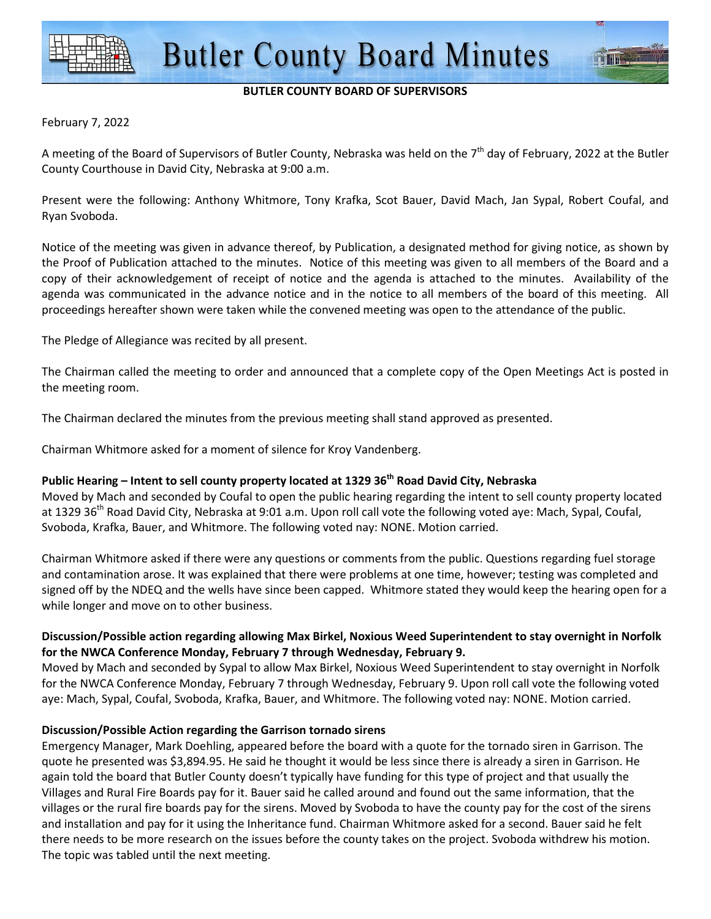#### **BUTLER COUNTY BOARD OF SUPERVISORS**

### February 7, 2022

A meeting of the Board of Supervisors of Butler County, Nebraska was held on the 7<sup>th</sup> day of February, 2022 at the Butler County Courthouse in David City, Nebraska at 9:00 a.m.

Present were the following: Anthony Whitmore, Tony Krafka, Scot Bauer, David Mach, Jan Sypal, Robert Coufal, and Ryan Svoboda.

Notice of the meeting was given in advance thereof, by Publication, a designated method for giving notice, as shown by the Proof of Publication attached to the minutes. Notice of this meeting was given to all members of the Board and a copy of their acknowledgement of receipt of notice and the agenda is attached to the minutes. Availability of the agenda was communicated in the advance notice and in the notice to all members of the board of this meeting. All proceedings hereafter shown were taken while the convened meeting was open to the attendance of the public.

The Pledge of Allegiance was recited by all present.

The Chairman called the meeting to order and announced that a complete copy of the Open Meetings Act is posted in the meeting room.

The Chairman declared the minutes from the previous meeting shall stand approved as presented.

Chairman Whitmore asked for a moment of silence for Kroy Vandenberg.

## **Public Hearing – Intent to sell county property located at 1329 36th Road David City, Nebraska**

Moved by Mach and seconded by Coufal to open the public hearing regarding the intent to sell county property located at 1329 36<sup>th</sup> Road David City, Nebraska at 9:01 a.m. Upon roll call vote the following voted aye: Mach, Sypal, Coufal, Svoboda, Krafka, Bauer, and Whitmore. The following voted nay: NONE. Motion carried.

Chairman Whitmore asked if there were any questions or comments from the public. Questions regarding fuel storage and contamination arose. It was explained that there were problems at one time, however; testing was completed and signed off by the NDEQ and the wells have since been capped. Whitmore stated they would keep the hearing open for a while longer and move on to other business.

## **Discussion/Possible action regarding allowing Max Birkel, Noxious Weed Superintendent to stay overnight in Norfolk for the NWCA Conference Monday, February 7 through Wednesday, February 9.**

Moved by Mach and seconded by Sypal to allow Max Birkel, Noxious Weed Superintendent to stay overnight in Norfolk for the NWCA Conference Monday, February 7 through Wednesday, February 9. Upon roll call vote the following voted aye: Mach, Sypal, Coufal, Svoboda, Krafka, Bauer, and Whitmore. The following voted nay: NONE. Motion carried.

#### **Discussion/Possible Action regarding the Garrison tornado sirens**

Emergency Manager, Mark Doehling, appeared before the board with a quote for the tornado siren in Garrison. The quote he presented was \$3,894.95. He said he thought it would be less since there is already a siren in Garrison. He again told the board that Butler County doesn't typically have funding for this type of project and that usually the Villages and Rural Fire Boards pay for it. Bauer said he called around and found out the same information, that the villages or the rural fire boards pay for the sirens. Moved by Svoboda to have the county pay for the cost of the sirens and installation and pay for it using the Inheritance fund. Chairman Whitmore asked for a second. Bauer said he felt there needs to be more research on the issues before the county takes on the project. Svoboda withdrew his motion. The topic was tabled until the next meeting.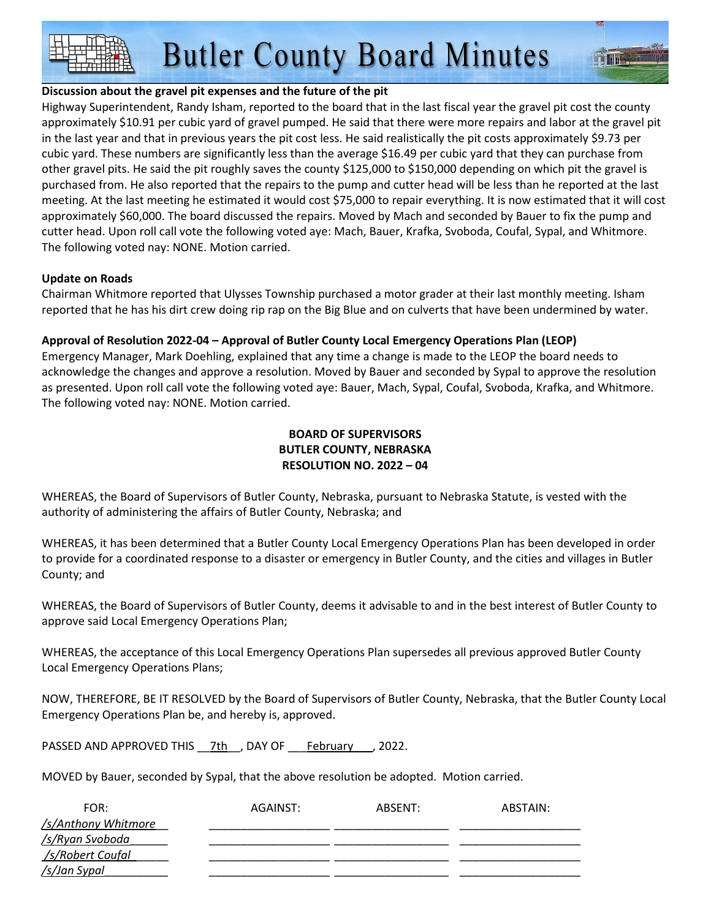**Butler County Board Minutes** 

### **Discussion about the gravel pit expenses and the future of the pit**

Highway Superintendent, Randy Isham, reported to the board that in the last fiscal year the gravel pit cost the county approximately \$10.91 per cubic yard of gravel pumped. He said that there were more repairs and labor at the gravel pit in the last year and that in previous years the pit cost less. He said realistically the pit costs approximately \$9.73 per cubic yard. These numbers are significantly less than the average \$16.49 per cubic yard that they can purchase from other gravel pits. He said the pit roughly saves the county \$125,000 to \$150,000 depending on which pit the gravel is purchased from. He also reported that the repairs to the pump and cutter head will be less than he reported at the last meeting. At the last meeting he estimated it would cost \$75,000 to repair everything. It is now estimated that it will cost approximately \$60,000. The board discussed the repairs. Moved by Mach and seconded by Bauer to fix the pump and cutter head. Upon roll call vote the following voted aye: Mach, Bauer, Krafka, Svoboda, Coufal, Sypal, and Whitmore. The following voted nay: NONE. Motion carried.

## **Update on Roads**

Chairman Whitmore reported that Ulysses Township purchased a motor grader at their last monthly meeting. Isham reported that he has his dirt crew doing rip rap on the Big Blue and on culverts that have been undermined by water.

## **Approval of Resolution 2022-04 – Approval of Butler County Local Emergency Operations Plan (LEOP)**

Emergency Manager, Mark Doehling, explained that any time a change is made to the LEOP the board needs to acknowledge the changes and approve a resolution. Moved by Bauer and seconded by Sypal to approve the resolution as presented. Upon roll call vote the following voted aye: Bauer, Mach, Sypal, Coufal, Svoboda, Krafka, and Whitmore. The following voted nay: NONE. Motion carried.

# **BOARD OF SUPERVISORS BUTLER COUNTY, NEBRASKA RESOLUTION NO. 2022 – 04**

WHEREAS, the Board of Supervisors of Butler County, Nebraska, pursuant to Nebraska Statute, is vested with the authority of administering the affairs of Butler County, Nebraska; and

WHEREAS, it has been determined that a Butler County Local Emergency Operations Plan has been developed in order to provide for a coordinated response to a disaster or emergency in Butler County, and the cities and villages in Butler County; and

WHEREAS, the Board of Supervisors of Butler County, deems it advisable to and in the best interest of Butler County to approve said Local Emergency Operations Plan;

WHEREAS, the acceptance of this Local Emergency Operations Plan supersedes all previous approved Butler County Local Emergency Operations Plans;

NOW, THEREFORE, BE IT RESOLVED by the Board of Supervisors of Butler County, Nebraska, that the Butler County Local Emergency Operations Plan be, and hereby is, approved.

PASSED AND APPROVED THIS \_\_7th\_\_, DAY OF \_\_\_\_February \_\_\_, 2022.

MOVED by Bauer, seconded by Sypal, that the above resolution be adopted. Motion carried.

| FOR:                | AGAINST: | ABSENT: | ABSTAIN: |
|---------------------|----------|---------|----------|
| /s/Anthony Whitmore |          |         |          |
| /s/Ryan Svoboda     |          |         |          |
| /s/Robert Coufal    |          |         |          |
| /s/Jan Sypal        |          |         |          |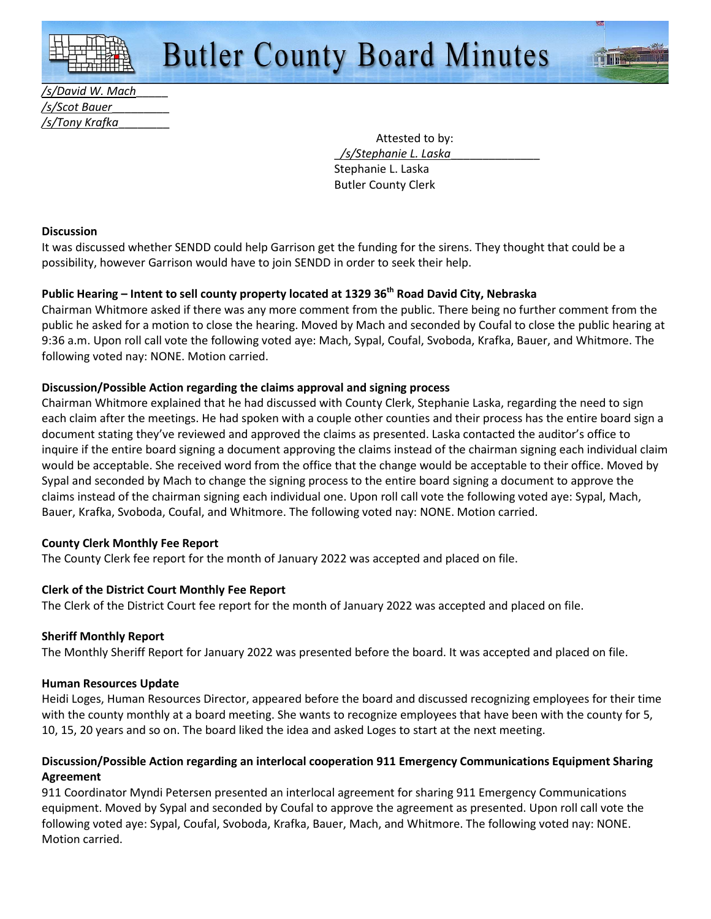*/s/David W. Mach*\_\_\_\_\_ */s/Scot Bauer*\_\_\_\_\_\_\_\_\_ */s/Tony Krafka*\_\_\_\_\_\_\_\_

> Attested to by: \_*/s/Stephanie L. Laska*\_\_\_\_\_\_\_\_\_\_\_\_\_\_ Stephanie L. Laska Butler County Clerk

#### **Discussion**

It was discussed whether SENDD could help Garrison get the funding for the sirens. They thought that could be a possibility, however Garrison would have to join SENDD in order to seek their help.

# **Public Hearing – Intent to sell county property located at 1329 36th Road David City, Nebraska**

Chairman Whitmore asked if there was any more comment from the public. There being no further comment from the public he asked for a motion to close the hearing. Moved by Mach and seconded by Coufal to close the public hearing at 9:36 a.m. Upon roll call vote the following voted aye: Mach, Sypal, Coufal, Svoboda, Krafka, Bauer, and Whitmore. The following voted nay: NONE. Motion carried.

## **Discussion/Possible Action regarding the claims approval and signing process**

Chairman Whitmore explained that he had discussed with County Clerk, Stephanie Laska, regarding the need to sign each claim after the meetings. He had spoken with a couple other counties and their process has the entire board sign a document stating they've reviewed and approved the claims as presented. Laska contacted the auditor's office to inquire if the entire board signing a document approving the claims instead of the chairman signing each individual claim would be acceptable. She received word from the office that the change would be acceptable to their office. Moved by Sypal and seconded by Mach to change the signing process to the entire board signing a document to approve the claims instead of the chairman signing each individual one. Upon roll call vote the following voted aye: Sypal, Mach, Bauer, Krafka, Svoboda, Coufal, and Whitmore. The following voted nay: NONE. Motion carried.

## **County Clerk Monthly Fee Report**

The County Clerk fee report for the month of January 2022 was accepted and placed on file.

## **Clerk of the District Court Monthly Fee Report**

The Clerk of the District Court fee report for the month of January 2022 was accepted and placed on file.

## **Sheriff Monthly Report**

The Monthly Sheriff Report for January 2022 was presented before the board. It was accepted and placed on file.

#### **Human Resources Update**

Heidi Loges, Human Resources Director, appeared before the board and discussed recognizing employees for their time with the county monthly at a board meeting. She wants to recognize employees that have been with the county for 5, 10, 15, 20 years and so on. The board liked the idea and asked Loges to start at the next meeting.

## **Discussion/Possible Action regarding an interlocal cooperation 911 Emergency Communications Equipment Sharing Agreement**

911 Coordinator Myndi Petersen presented an interlocal agreement for sharing 911 Emergency Communications equipment. Moved by Sypal and seconded by Coufal to approve the agreement as presented. Upon roll call vote the following voted aye: Sypal, Coufal, Svoboda, Krafka, Bauer, Mach, and Whitmore. The following voted nay: NONE. Motion carried.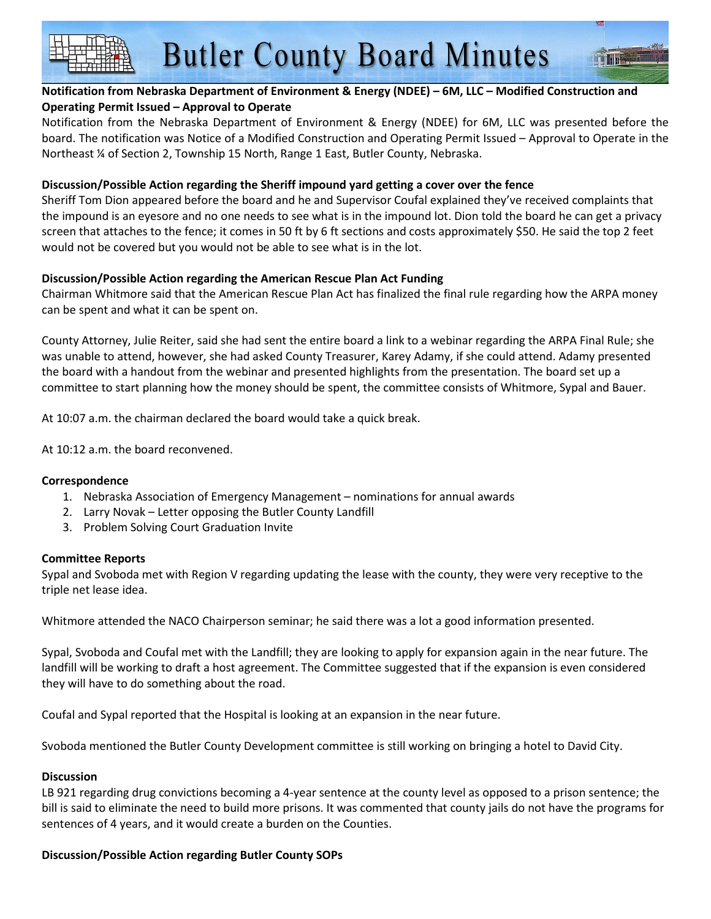## **Notification from Nebraska Department of Environment & Energy (NDEE) – 6M, LLC – Modified Construction and Operating Permit Issued – Approval to Operate**

Notification from the Nebraska Department of Environment & Energy (NDEE) for 6M, LLC was presented before the board. The notification was Notice of a Modified Construction and Operating Permit Issued – Approval to Operate in the Northeast ¼ of Section 2, Township 15 North, Range 1 East, Butler County, Nebraska.

### **Discussion/Possible Action regarding the Sheriff impound yard getting a cover over the fence**

Sheriff Tom Dion appeared before the board and he and Supervisor Coufal explained they've received complaints that the impound is an eyesore and no one needs to see what is in the impound lot. Dion told the board he can get a privacy screen that attaches to the fence; it comes in 50 ft by 6 ft sections and costs approximately \$50. He said the top 2 feet would not be covered but you would not be able to see what is in the lot.

## **Discussion/Possible Action regarding the American Rescue Plan Act Funding**

Chairman Whitmore said that the American Rescue Plan Act has finalized the final rule regarding how the ARPA money can be spent and what it can be spent on.

County Attorney, Julie Reiter, said she had sent the entire board a link to a webinar regarding the ARPA Final Rule; she was unable to attend, however, she had asked County Treasurer, Karey Adamy, if she could attend. Adamy presented the board with a handout from the webinar and presented highlights from the presentation. The board set up a committee to start planning how the money should be spent, the committee consists of Whitmore, Sypal and Bauer.

At 10:07 a.m. the chairman declared the board would take a quick break.

At 10:12 a.m. the board reconvened.

#### **Correspondence**

- 1. Nebraska Association of Emergency Management nominations for annual awards
- 2. Larry Novak Letter opposing the Butler County Landfill
- 3. Problem Solving Court Graduation Invite

#### **Committee Reports**

Sypal and Svoboda met with Region V regarding updating the lease with the county, they were very receptive to the triple net lease idea.

Whitmore attended the NACO Chairperson seminar; he said there was a lot a good information presented.

Sypal, Svoboda and Coufal met with the Landfill; they are looking to apply for expansion again in the near future. The landfill will be working to draft a host agreement. The Committee suggested that if the expansion is even considered they will have to do something about the road.

Coufal and Sypal reported that the Hospital is looking at an expansion in the near future.

Svoboda mentioned the Butler County Development committee is still working on bringing a hotel to David City.

#### **Discussion**

LB 921 regarding drug convictions becoming a 4-year sentence at the county level as opposed to a prison sentence; the bill is said to eliminate the need to build more prisons. It was commented that county jails do not have the programs for sentences of 4 years, and it would create a burden on the Counties.

## **Discussion/Possible Action regarding Butler County SOPs**